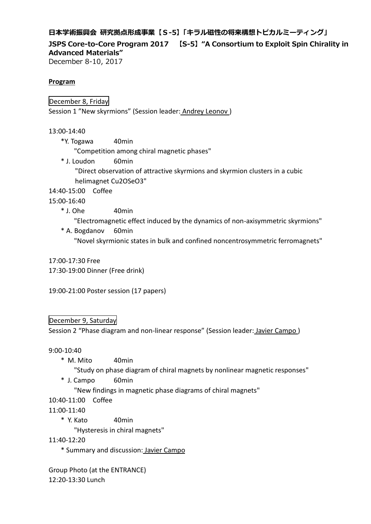# **日本学術振興会 研究拠点形成事業【S-5】「キラル磁性の将来構想トピカルミーティング」**

**JSPS Core-to-Core Program 2017 【S-5】"A Consortium to Exploit Spin Chirality in Advanced Materials"**

December 8-10, 2017

## **Program**

December 8, Friday

Session 1 "New skyrmions" (Session leader: Andrey Leonov )

13:00-14:40

\*Y. Togawa 40min

"Competition among chiral magnetic phases"

\* J. Loudon 60min "Direct observation of attractive skyrmions and skyrmion clusters in a cubic helimagnet Cu2OSeO3"

14:40-15:00 Coffee

15:00-16:40

 $*$  J. Ohe  $40$ min

"Electromagnetic effect induced by the dynamics of non-axisymmetric skyrmions"

\* A. Bogdanov 60min "Novel skyrmionic states in bulk and confined noncentrosymmetric ferromagnets"

17:00-17:30 Free 17:30-19:00 Dinner (Free drink)

19:00-21:00 Poster session (17 papers)

# December 9, Saturday

Session 2 "Phase diagram and non-linear response" (Session leader: Javier Campo )

9:00-10:40

- \* M. Mito 40min
	- "Study on phase diagram of chiral magnets by nonlinear magnetic responses"
- \* J. Campo 60min

"New findings in magnetic phase diagrams of chiral magnets"

- 10:40-11:00 Coffee
- 11:00-11:40
	- \* Y. Kato 40min

"Hysteresis in chiral magnets"

11:40-12:20

\* Summary and discussion: Javier Campo

Group Photo (at the ENTRANCE)

12:20-13:30 Lunch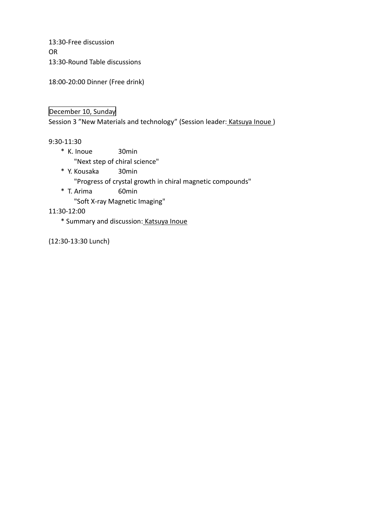13:30-Free discussion OR 13:30-Round Table discussions

18:00-20:00 Dinner (Free drink)

# December 10, Sunday

Session 3 "New Materials and technology" (Session leader: Katsuya Inoue)

## 9:30-11:30

\* K. Inoue 30min

"Next step of chiral science"

\* Y. Kousaka 30min

"Progress of crystal growth in chiral magnetic compounds"

\* T. Arima 60min

"Soft X-ray Magnetic Imaging"

11:30-12:00

\* Summary and discussion: Katsuya Inoue

(12:30-13:30 Lunch)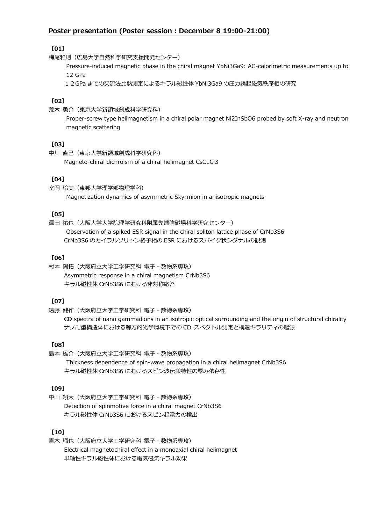## **Poster presentation (Poster session : December 8 19:00-21:00)**

## **[01]**

梅尾和則(広島大学自然科学研究支援開発センター)

Pressure-induced magnetic phase in the chiral magnet YbNi3Ga9: AC-calorimetric measurements up to 12 GPa

12GPa までの交流法比熱測定によるキラル磁性体 YbNi3Ga9 の圧力誘起磁気秩序相の研究

### **[02]**

荒木 勇介(東京大学新領域創成科学研究科)

Proper-screw type helimagnetism in a chiral polar magnet Ni2InSbO6 probed by soft X-ray and neutron magnetic scattering

### **[03]**

中川 直己(東京大学新領域創成科学研究科) Magneto-chiral dichroism of a chiral helimagnet CsCuCl3

### **[04]**

室岡 玲美(東邦大学理学部物理学科) Magnetization dynamics of asymmetric Skyrmion in anisotropic magnets

### **[05]**

澤田 祐也(大阪大学大学院理学研究科附属先端強磁場科学研究センター) Observation of a spiked ESR signal in the chiral soliton lattice phase of CrNb3S6 CrNb3S6 のカイラルソリトン格子相の ESR におけるスパイク状シグナルの観測

### **[06]**

村本 陽拓(大阪府立大学工学研究科 電子・数物系専攻) Asymmetric response in a chiral magnetism CrNb3S6 キラル磁性体 CrNb3S6 における非対称応答

#### **[07]**

遠藤 健作(大阪府立大学工学研究科 電子・数物系専攻)

CD spectra of nano gammadions in an isotropic optical surrounding and the origin of structural chirality ナノ卍型構造体における等方的光学環境下での CD スペクトル測定と構造キラリティの起源

#### **[08]**

島本 雄介(大阪府立大学工学研究科 電子・数物系専攻) Thickness dependence of spin-wave propagation in a chiral helimagnet CrNb3S6 キラル磁性体 CrNb3S6 におけるスピン波伝搬特性の厚み依存性

#### **[09]**

中山 翔太(大阪府立大学工学研究科 電子・数物系専攻) Detection of spinmotive force in a chiral magnet CrNb3S6 キラル磁性体 CrNb3S6 におけるスピン起電力の検出

### **[10]**

青木 瑠也(大阪府立大学工学研究科 電子・数物系専攻) Electrical magnetochiral effect in a monoaxial chiral helimagnet 単軸性キラル磁性体における電気磁気キラル効果